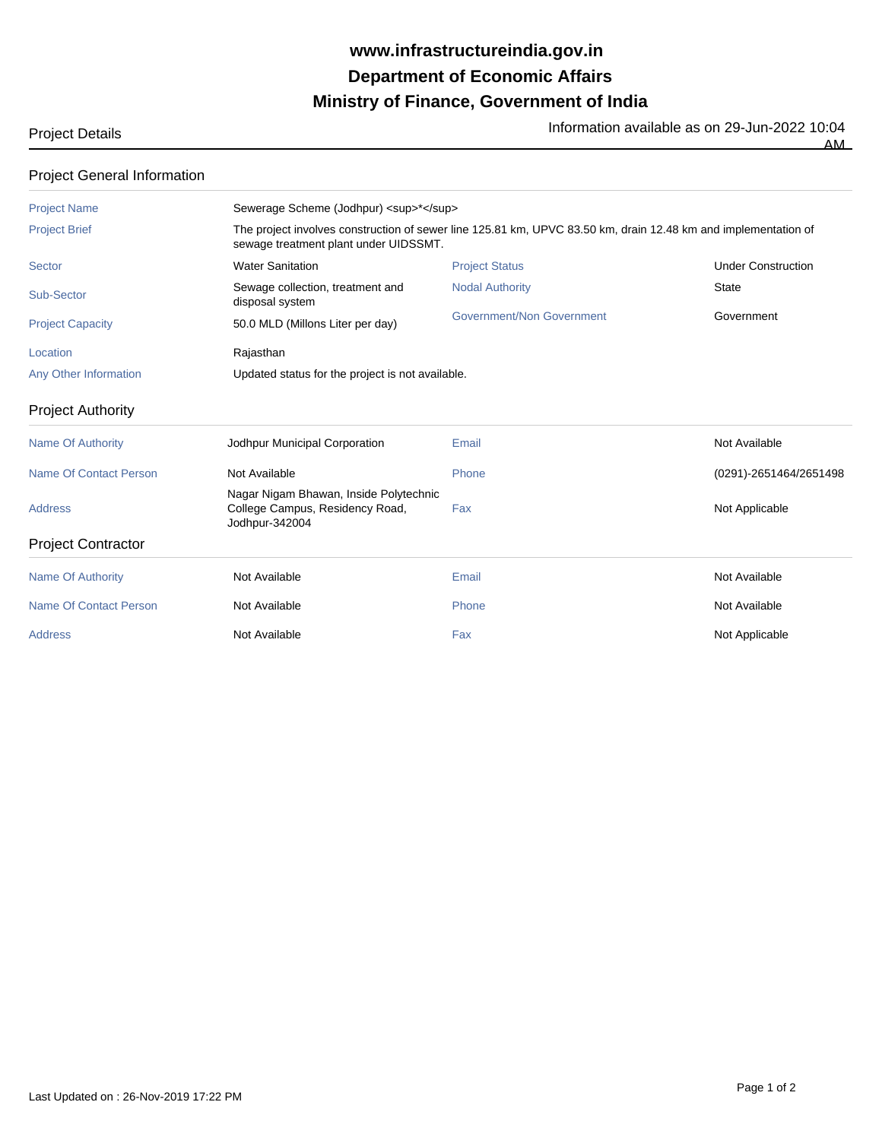## **Ministry of Finance, Government of India Department of Economic Affairs www.infrastructureindia.gov.in**

Project Details **Information available as on 29-Jun-2022** 10:04

AM

| <b>Project General Information</b> |  |
|------------------------------------|--|
|------------------------------------|--|

| <u>LIVICCI OCHCIALIHUIHIANUH</u> |                                                                                                                                                         |                           |                           |  |  |  |
|----------------------------------|---------------------------------------------------------------------------------------------------------------------------------------------------------|---------------------------|---------------------------|--|--|--|
| <b>Project Name</b>              | Sewerage Scheme (Jodhpur) <sup>*</sup>                                                                                                                  |                           |                           |  |  |  |
| <b>Project Brief</b>             | The project involves construction of sewer line 125.81 km, UPVC 83.50 km, drain 12.48 km and implementation of<br>sewage treatment plant under UIDSSMT. |                           |                           |  |  |  |
| <b>Sector</b>                    | <b>Water Sanitation</b>                                                                                                                                 | <b>Project Status</b>     | <b>Under Construction</b> |  |  |  |
| Sub-Sector                       | Sewage collection, treatment and<br>disposal system                                                                                                     | <b>Nodal Authority</b>    | <b>State</b>              |  |  |  |
| <b>Project Capacity</b>          | 50.0 MLD (Millons Liter per day)                                                                                                                        | Government/Non Government | Government                |  |  |  |
| Location                         | Rajasthan                                                                                                                                               |                           |                           |  |  |  |
| <b>Any Other Information</b>     | Updated status for the project is not available.                                                                                                        |                           |                           |  |  |  |
| <b>Project Authority</b>         |                                                                                                                                                         |                           |                           |  |  |  |
| <b>Name Of Authority</b>         | Jodhpur Municipal Corporation                                                                                                                           | Email                     | Not Available             |  |  |  |
| <b>Name Of Contact Person</b>    | Not Available                                                                                                                                           | Phone                     | (0291)-2651464/2651498    |  |  |  |
| <b>Address</b>                   | Nagar Nigam Bhawan, Inside Polytechnic<br>College Campus, Residency Road,<br>Jodhpur-342004                                                             | Fax                       | Not Applicable            |  |  |  |
| <b>Project Contractor</b>        |                                                                                                                                                         |                           |                           |  |  |  |
| <b>Name Of Authority</b>         | Not Available                                                                                                                                           | Email                     | Not Available             |  |  |  |
| <b>Name Of Contact Person</b>    | Not Available                                                                                                                                           | Phone                     | Not Available             |  |  |  |
| <b>Address</b>                   | Not Available                                                                                                                                           | Fax                       | Not Applicable            |  |  |  |
|                                  |                                                                                                                                                         |                           |                           |  |  |  |